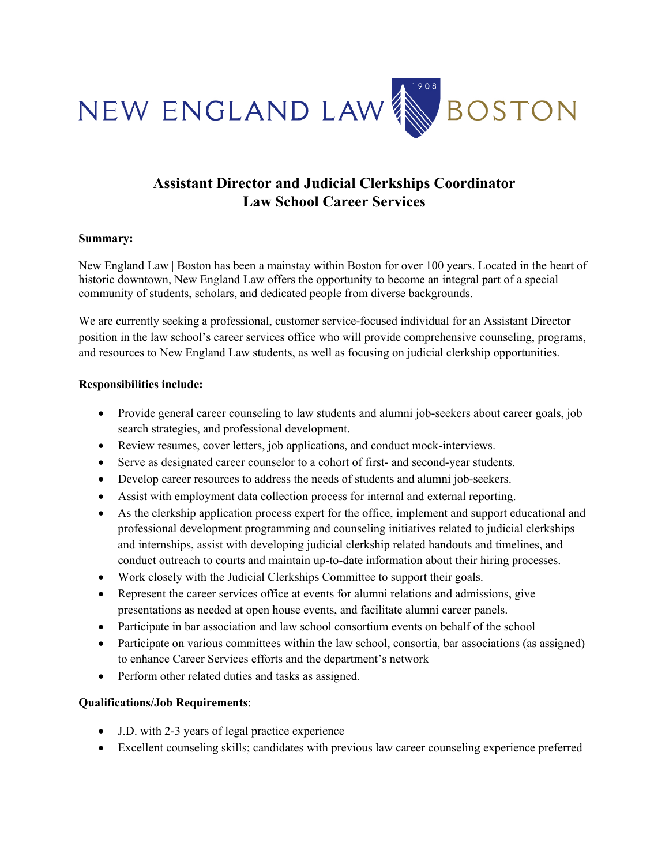

## **Assistant Director and Judicial Clerkships Coordinator Law School Career Services**

## **Summary:**

New England Law | Boston has been a mainstay within Boston for over 100 years. Located in the heart of historic downtown, New England Law offers the opportunity to become an integral part of a special community of students, scholars, and dedicated people from diverse backgrounds.

We are currently seeking a professional, customer service-focused individual for an Assistant Director position in the law school's career services office who will provide comprehensive counseling, programs, and resources to New England Law students, as well as focusing on judicial clerkship opportunities.

## **Responsibilities include:**

- Provide general career counseling to law students and alumni job-seekers about career goals, job search strategies, and professional development.
- Review resumes, cover letters, job applications, and conduct mock-interviews.
- Serve as designated career counselor to a cohort of first- and second-year students.
- Develop career resources to address the needs of students and alumni job-seekers.
- Assist with employment data collection process for internal and external reporting.
- As the clerkship application process expert for the office, implement and support educational and professional development programming and counseling initiatives related to judicial clerkships and internships, assist with developing judicial clerkship related handouts and timelines, and conduct outreach to courts and maintain up-to-date information about their hiring processes.
- Work closely with the Judicial Clerkships Committee to support their goals.
- Represent the career services office at events for alumni relations and admissions, give presentations as needed at open house events, and facilitate alumni career panels.
- Participate in bar association and law school consortium events on behalf of the school
- Participate on various committees within the law school, consortia, bar associations (as assigned) to enhance Career Services efforts and the department's network
- Perform other related duties and tasks as assigned.

## **Qualifications/Job Requirements**:

- J.D. with 2-3 years of legal practice experience
- Excellent counseling skills; candidates with previous law career counseling experience preferred